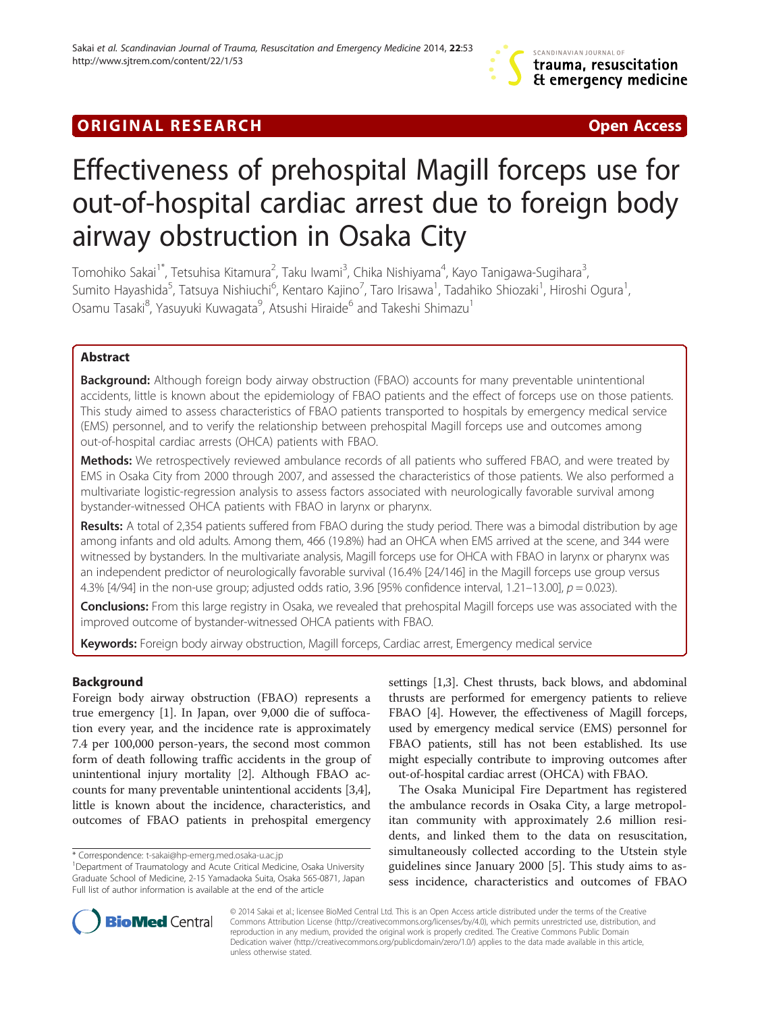## **ORIGINAL RESEARCH CONSUMING A RESEARCH CONSUMING A RESEARCH**

# Effectiveness of prehospital Magill forceps use for out-of-hospital cardiac arrest due to foreign body airway obstruction in Osaka City

Tomohiko Sakai<sup>1\*</sup>, Tetsuhisa Kitamura<sup>2</sup>, Taku Iwami<sup>3</sup>, Chika Nishiyama<sup>4</sup>, Kayo Tanigawa-Sugihara<sup>3</sup> , Sumito Hayashida<sup>5</sup>, Tatsuya Nishiuchi<sup>6</sup>, Kentaro Kajino<sup>7</sup>, Taro Irisawa<sup>1</sup>, Tadahiko Shiozaki<sup>1</sup>, Hiroshi Ogura<sup>1</sup> , Osamu Tasaki<sup>8</sup>, Yasuyuki Kuwagata<sup>9</sup>, Atsushi Hiraide<sup>6</sup> and Takeshi Shimazu<sup>1</sup>

## Abstract

**Background:** Although foreign body airway obstruction (FBAO) accounts for many preventable unintentional accidents, little is known about the epidemiology of FBAO patients and the effect of forceps use on those patients. This study aimed to assess characteristics of FBAO patients transported to hospitals by emergency medical service (EMS) personnel, and to verify the relationship between prehospital Magill forceps use and outcomes among out-of-hospital cardiac arrests (OHCA) patients with FBAO.

Methods: We retrospectively reviewed ambulance records of all patients who suffered FBAO, and were treated by EMS in Osaka City from 2000 through 2007, and assessed the characteristics of those patients. We also performed a multivariate logistic-regression analysis to assess factors associated with neurologically favorable survival among bystander-witnessed OHCA patients with FBAO in larynx or pharynx.

Results: A total of 2,354 patients suffered from FBAO during the study period. There was a bimodal distribution by age among infants and old adults. Among them, 466 (19.8%) had an OHCA when EMS arrived at the scene, and 344 were witnessed by bystanders. In the multivariate analysis, Magill forceps use for OHCA with FBAO in larynx or pharynx was an independent predictor of neurologically favorable survival (16.4% [24/146] in the Magill forceps use group versus 4.3% [4/94] in the non-use group; adjusted odds ratio, 3.96 [95% confidence interval, 1.21–13.00],  $p = 0.023$ ).

Conclusions: From this large registry in Osaka, we revealed that prehospital Magill forceps use was associated with the improved outcome of bystander-witnessed OHCA patients with FBAO.

Keywords: Foreign body airway obstruction, Magill forceps, Cardiac arrest, Emergency medical service

## Background

Foreign body airway obstruction (FBAO) represents a true emergency [\[1](#page-6-0)]. In Japan, over 9,000 die of suffocation every year, and the incidence rate is approximately 7.4 per 100,000 person-years, the second most common form of death following traffic accidents in the group of unintentional injury mortality [\[2](#page-6-0)]. Although FBAO accounts for many preventable unintentional accidents [[3](#page-6-0),[4](#page-6-0)], little is known about the incidence, characteristics, and outcomes of FBAO patients in prehospital emergency

settings [\[1,3](#page-6-0)]. Chest thrusts, back blows, and abdominal thrusts are performed for emergency patients to relieve FBAO [\[4](#page-6-0)]. However, the effectiveness of Magill forceps, used by emergency medical service (EMS) personnel for FBAO patients, still has not been established. Its use might especially contribute to improving outcomes after out-of-hospital cardiac arrest (OHCA) with FBAO.

The Osaka Municipal Fire Department has registered the ambulance records in Osaka City, a large metropolitan community with approximately 2.6 million residents, and linked them to the data on resuscitation, simultaneously collected according to the Utstein style guidelines since January 2000 [[5\]](#page-6-0). This study aims to assess incidence, characteristics and outcomes of FBAO



© 2014 Sakai et al.; licensee BioMed Central Ltd. This is an Open Access article distributed under the terms of the Creative Commons Attribution License [\(http://creativecommons.org/licenses/by/4.0\)](http://creativecommons.org/licenses/by/4.0), which permits unrestricted use, distribution, and reproduction in any medium, provided the original work is properly credited. The Creative Commons Public Domain Dedication waiver [\(http://creativecommons.org/publicdomain/zero/1.0/](http://creativecommons.org/publicdomain/zero/1.0/)) applies to the data made available in this article, unless otherwise stated.

<sup>\*</sup> Correspondence: [t-sakai@hp-emerg.med.osaka-u.ac.jp](mailto:t-sakai@hp-emerg.med.osaka-u.ac.jp) <sup>1</sup>

<sup>&</sup>lt;sup>1</sup>Department of Traumatology and Acute Critical Medicine, Osaka University Graduate School of Medicine, 2-15 Yamadaoka Suita, Osaka 565-0871, Japan Full list of author information is available at the end of the article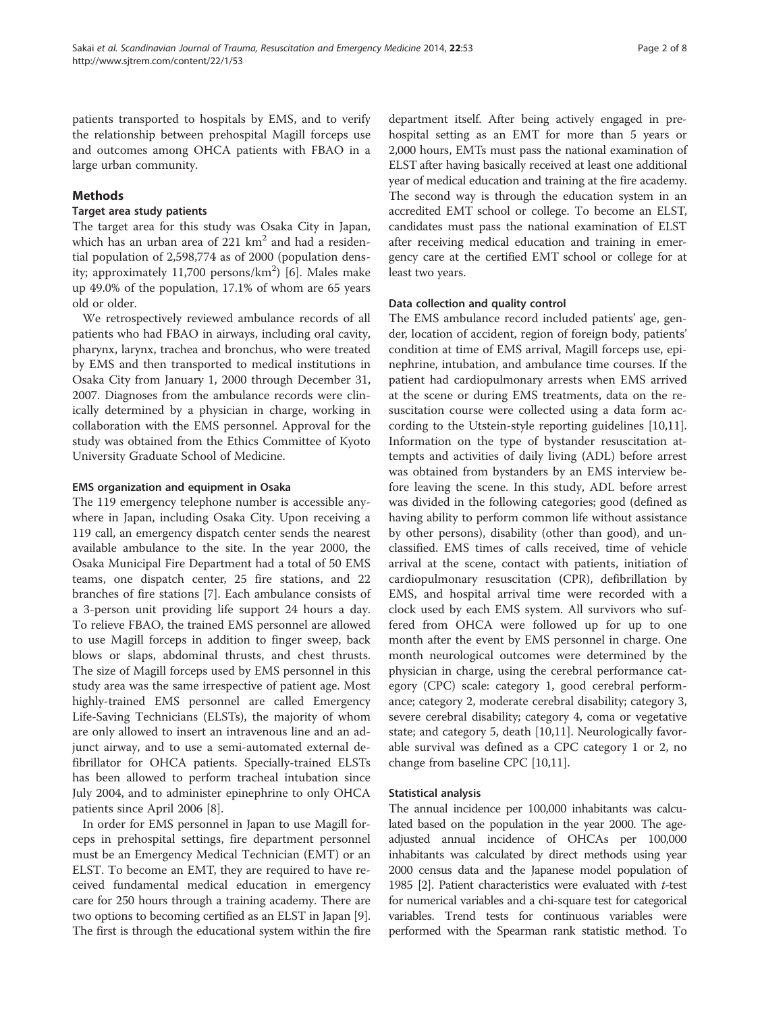patients transported to hospitals by EMS, and to verify the relationship between prehospital Magill forceps use and outcomes among OHCA patients with FBAO in a large urban community.

#### Methods

## Target area study patients

The target area for this study was Osaka City in Japan, which has an urban area of  $221 \text{ km}^2$  and had a residential population of 2,598,774 as of 2000 (population density; approximately 11,700 persons/km $^2)$  [[6\]](#page-6-0). Males make up 49.0% of the population, 17.1% of whom are 65 years old or older.

We retrospectively reviewed ambulance records of all patients who had FBAO in airways, including oral cavity, pharynx, larynx, trachea and bronchus, who were treated by EMS and then transported to medical institutions in Osaka City from January 1, 2000 through December 31, 2007. Diagnoses from the ambulance records were clinically determined by a physician in charge, working in collaboration with the EMS personnel. Approval for the study was obtained from the Ethics Committee of Kyoto University Graduate School of Medicine.

#### EMS organization and equipment in Osaka

The 119 emergency telephone number is accessible anywhere in Japan, including Osaka City. Upon receiving a 119 call, an emergency dispatch center sends the nearest available ambulance to the site. In the year 2000, the Osaka Municipal Fire Department had a total of 50 EMS teams, one dispatch center, 25 fire stations, and 22 branches of fire stations [[7\]](#page-6-0). Each ambulance consists of a 3-person unit providing life support 24 hours a day. To relieve FBAO, the trained EMS personnel are allowed to use Magill forceps in addition to finger sweep, back blows or slaps, abdominal thrusts, and chest thrusts. The size of Magill forceps used by EMS personnel in this study area was the same irrespective of patient age. Most highly-trained EMS personnel are called Emergency Life-Saving Technicians (ELSTs), the majority of whom are only allowed to insert an intravenous line and an adjunct airway, and to use a semi-automated external defibrillator for OHCA patients. Specially-trained ELSTs has been allowed to perform tracheal intubation since July 2004, and to administer epinephrine to only OHCA patients since April 2006 [[8\]](#page-6-0).

In order for EMS personnel in Japan to use Magill forceps in prehospital settings, fire department personnel must be an Emergency Medical Technician (EMT) or an ELST. To become an EMT, they are required to have received fundamental medical education in emergency care for 250 hours through a training academy. There are two options to becoming certified as an ELST in Japan [[9](#page-6-0)]. The first is through the educational system within the fire

department itself. After being actively engaged in prehospital setting as an EMT for more than 5 years or 2,000 hours, EMTs must pass the national examination of ELST after having basically received at least one additional year of medical education and training at the fire academy. The second way is through the education system in an accredited EMT school or college. To become an ELST, candidates must pass the national examination of ELST after receiving medical education and training in emergency care at the certified EMT school or college for at least two years.

## Data collection and quality control

The EMS ambulance record included patients' age, gender, location of accident, region of foreign body, patients' condition at time of EMS arrival, Magill forceps use, epinephrine, intubation, and ambulance time courses. If the patient had cardiopulmonary arrests when EMS arrived at the scene or during EMS treatments, data on the resuscitation course were collected using a data form according to the Utstein-style reporting guidelines [\[10,11](#page-6-0)]. Information on the type of bystander resuscitation attempts and activities of daily living (ADL) before arrest was obtained from bystanders by an EMS interview before leaving the scene. In this study, ADL before arrest was divided in the following categories; good (defined as having ability to perform common life without assistance by other persons), disability (other than good), and unclassified. EMS times of calls received, time of vehicle arrival at the scene, contact with patients, initiation of cardiopulmonary resuscitation (CPR), defibrillation by EMS, and hospital arrival time were recorded with a clock used by each EMS system. All survivors who suffered from OHCA were followed up for up to one month after the event by EMS personnel in charge. One month neurological outcomes were determined by the physician in charge, using the cerebral performance category (CPC) scale: category 1, good cerebral performance; category 2, moderate cerebral disability; category 3, severe cerebral disability; category 4, coma or vegetative state; and category 5, death [[10,11](#page-6-0)]. Neurologically favorable survival was defined as a CPC category 1 or 2, no change from baseline CPC [[10,11\]](#page-6-0).

## Statistical analysis

The annual incidence per 100,000 inhabitants was calculated based on the population in the year 2000. The ageadjusted annual incidence of OHCAs per 100,000 inhabitants was calculated by direct methods using year 2000 census data and the Japanese model population of 1985 [\[2](#page-6-0)]. Patient characteristics were evaluated with  $t$ -test for numerical variables and a chi-square test for categorical variables. Trend tests for continuous variables were performed with the Spearman rank statistic method. To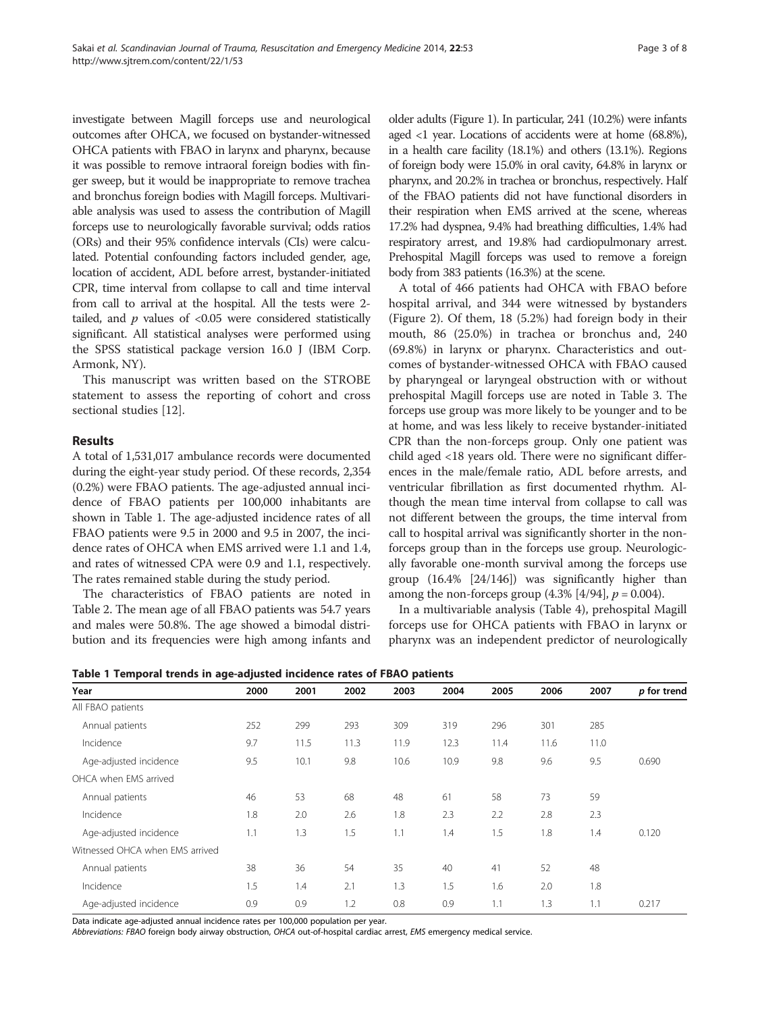investigate between Magill forceps use and neurological outcomes after OHCA, we focused on bystander-witnessed OHCA patients with FBAO in larynx and pharynx, because it was possible to remove intraoral foreign bodies with finger sweep, but it would be inappropriate to remove trachea and bronchus foreign bodies with Magill forceps. Multivariable analysis was used to assess the contribution of Magill forceps use to neurologically favorable survival; odds ratios (ORs) and their 95% confidence intervals (CIs) were calculated. Potential confounding factors included gender, age, location of accident, ADL before arrest, bystander-initiated CPR, time interval from collapse to call and time interval from call to arrival at the hospital. All the tests were 2 tailed, and  $p$  values of <0.05 were considered statistically significant. All statistical analyses were performed using the SPSS statistical package version 16.0 J (IBM Corp. Armonk, NY).

This manuscript was written based on the STROBE statement to assess the reporting of cohort and cross sectional studies [[12\]](#page-6-0).

#### Results

A total of 1,531,017 ambulance records were documented during the eight-year study period. Of these records, 2,354 (0.2%) were FBAO patients. The age-adjusted annual incidence of FBAO patients per 100,000 inhabitants are shown in Table 1. The age-adjusted incidence rates of all FBAO patients were 9.5 in 2000 and 9.5 in 2007, the incidence rates of OHCA when EMS arrived were 1.1 and 1.4, and rates of witnessed CPA were 0.9 and 1.1, respectively. The rates remained stable during the study period.

The characteristics of FBAO patients are noted in Table [2.](#page-3-0) The mean age of all FBAO patients was 54.7 years and males were 50.8%. The age showed a bimodal distribution and its frequencies were high among infants and

older adults (Figure [1](#page-3-0)). In particular, 241 (10.2%) were infants aged <1 year. Locations of accidents were at home (68.8%), in a health care facility (18.1%) and others (13.1%). Regions of foreign body were 15.0% in oral cavity, 64.8% in larynx or pharynx, and 20.2% in trachea or bronchus, respectively. Half of the FBAO patients did not have functional disorders in their respiration when EMS arrived at the scene, whereas 17.2% had dyspnea, 9.4% had breathing difficulties, 1.4% had respiratory arrest, and 19.8% had cardiopulmonary arrest. Prehospital Magill forceps was used to remove a foreign body from 383 patients (16.3%) at the scene.

A total of 466 patients had OHCA with FBAO before hospital arrival, and 344 were witnessed by bystanders (Figure [2](#page-4-0)). Of them, 18 (5.2%) had foreign body in their mouth, 86 (25.0%) in trachea or bronchus and, 240 (69.8%) in larynx or pharynx. Characteristics and outcomes of bystander-witnessed OHCA with FBAO caused by pharyngeal or laryngeal obstruction with or without prehospital Magill forceps use are noted in Table [3.](#page-4-0) The forceps use group was more likely to be younger and to be at home, and was less likely to receive bystander-initiated CPR than the non-forceps group. Only one patient was child aged <18 years old. There were no significant differences in the male/female ratio, ADL before arrests, and ventricular fibrillation as first documented rhythm. Although the mean time interval from collapse to call was not different between the groups, the time interval from call to hospital arrival was significantly shorter in the nonforceps group than in the forceps use group. Neurologically favorable one-month survival among the forceps use group (16.4% [24/146]) was significantly higher than among the non-forceps group  $(4.3\% \, \lceil 4/94 \rceil, p = 0.004)$ .

In a multivariable analysis (Table [4\)](#page-5-0), prehospital Magill forceps use for OHCA patients with FBAO in larynx or pharynx was an independent predictor of neurologically

| Year                            | 2000 | 2001 | 2002 | 2003 | 2004 | 2005 | 2006 | 2007 | p for trend |
|---------------------------------|------|------|------|------|------|------|------|------|-------------|
| All FBAO patients               |      |      |      |      |      |      |      |      |             |
| Annual patients                 | 252  | 299  | 293  | 309  | 319  | 296  | 301  | 285  |             |
| Incidence                       | 9.7  | 11.5 | 11.3 | 11.9 | 12.3 | 11.4 | 11.6 | 11.0 |             |
| Age-adjusted incidence          | 9.5  | 10.1 | 9.8  | 10.6 | 10.9 | 9.8  | 9.6  | 9.5  | 0.690       |
| OHCA when EMS arrived           |      |      |      |      |      |      |      |      |             |
| Annual patients                 | 46   | 53   | 68   | 48   | 61   | 58   | 73   | 59   |             |
| Incidence                       | 1.8  | 2.0  | 2.6  | 1.8  | 2.3  | 2.2  | 2.8  | 2.3  |             |
| Age-adjusted incidence          | 1.1  | 1.3  | 1.5  | 1.1  | 1.4  | 1.5  | 1.8  | 1.4  | 0.120       |
| Witnessed OHCA when EMS arrived |      |      |      |      |      |      |      |      |             |
| Annual patients                 | 38   | 36   | 54   | 35   | 40   | 41   | 52   | 48   |             |
| Incidence                       | 1.5  | 1.4  | 2.1  | 1.3  | 1.5  | 1.6  | 2.0  | 1.8  |             |
| Age-adjusted incidence          | 0.9  | 0.9  | 1.2  | 0.8  | 0.9  | 1.1  | 1.3  | 1.1  | 0.217       |

Data indicate age-adjusted annual incidence rates per 100,000 population per year.

Abbreviations: FBAO foreign body airway obstruction, OHCA out-of-hospital cardiac arrest, EMS emergency medical service.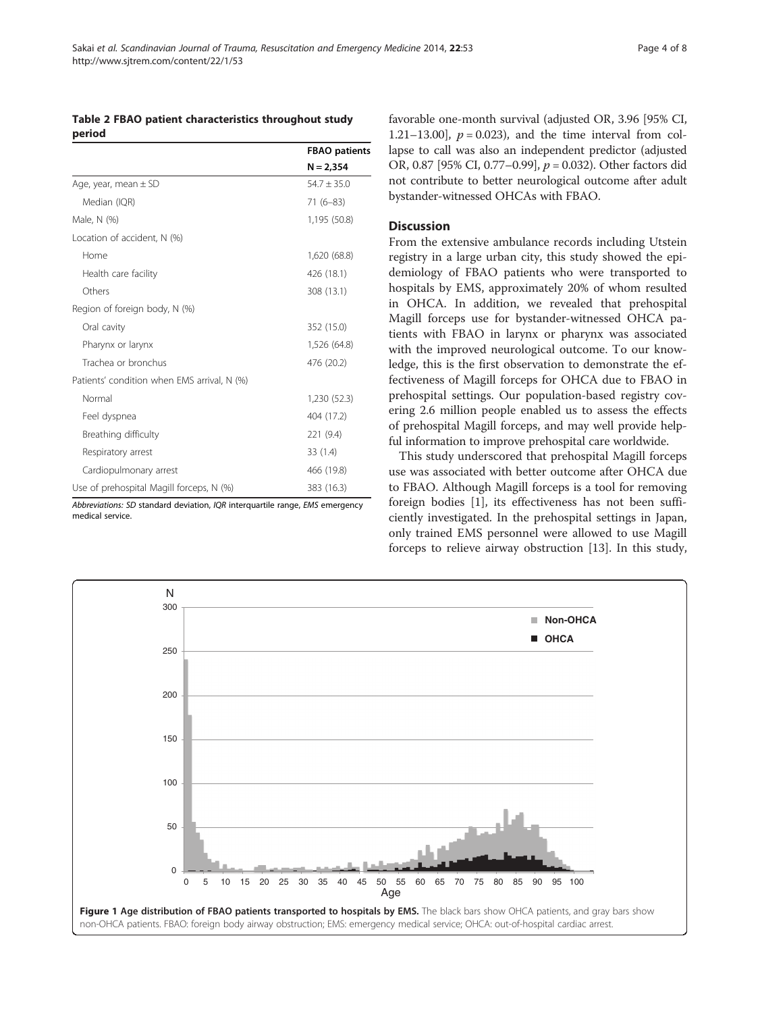#### <span id="page-3-0"></span>Table 2 FBAO patient characteristics throughout study period

|                                             | <b>FBAO</b> patients |
|---------------------------------------------|----------------------|
|                                             | $N = 2,354$          |
| Age, year, mean $\pm$ SD                    | $54.7 \pm 35.0$      |
| Median (IQR)                                | $71(6-83)$           |
| Male, N (%)                                 | 1,195 (50.8)         |
| Location of accident, N (%)                 |                      |
| Home                                        | 1,620 (68.8)         |
| Health care facility                        | 426 (18.1)           |
| Others                                      | 308 (13.1)           |
| Region of foreign body, N (%)               |                      |
| Oral cavity                                 | 352 (15.0)           |
| Pharynx or larynx                           | 1,526 (64.8)         |
| Trachea or bronchus                         | 476 (20.2)           |
| Patients' condition when EMS arrival, N (%) |                      |
| Normal                                      | 1,230 (52.3)         |
| Feel dyspnea                                | 404 (17.2)           |
| Breathing difficulty                        | 221 (9.4)            |
| Respiratory arrest                          | 33 (1.4)             |
| Cardiopulmonary arrest                      | 466 (19.8)           |
| Use of prehospital Magill forceps, N (%)    | 383 (16.3)           |

Abbreviations: SD standard deviation, IQR interquartile range, EMS emergency medical service.

favorable one-month survival (adjusted OR, 3.96 [95% CI, 1.21–13.00],  $p = 0.023$ , and the time interval from collapse to call was also an independent predictor (adjusted OR, 0.87 [95% CI, 0.77–0.99], p = 0.032). Other factors did not contribute to better neurological outcome after adult bystander-witnessed OHCAs with FBAO.

## **Discussion**

From the extensive ambulance records including Utstein registry in a large urban city, this study showed the epidemiology of FBAO patients who were transported to hospitals by EMS, approximately 20% of whom resulted in OHCA. In addition, we revealed that prehospital Magill forceps use for bystander-witnessed OHCA patients with FBAO in larynx or pharynx was associated with the improved neurological outcome. To our knowledge, this is the first observation to demonstrate the effectiveness of Magill forceps for OHCA due to FBAO in prehospital settings. Our population-based registry covering 2.6 million people enabled us to assess the effects of prehospital Magill forceps, and may well provide helpful information to improve prehospital care worldwide.

This study underscored that prehospital Magill forceps use was associated with better outcome after OHCA due to FBAO. Although Magill forceps is a tool for removing foreign bodies [\[1](#page-6-0)], its effectiveness has not been sufficiently investigated. In the prehospital settings in Japan, only trained EMS personnel were allowed to use Magill forceps to relieve airway obstruction [\[13](#page-7-0)]. In this study,

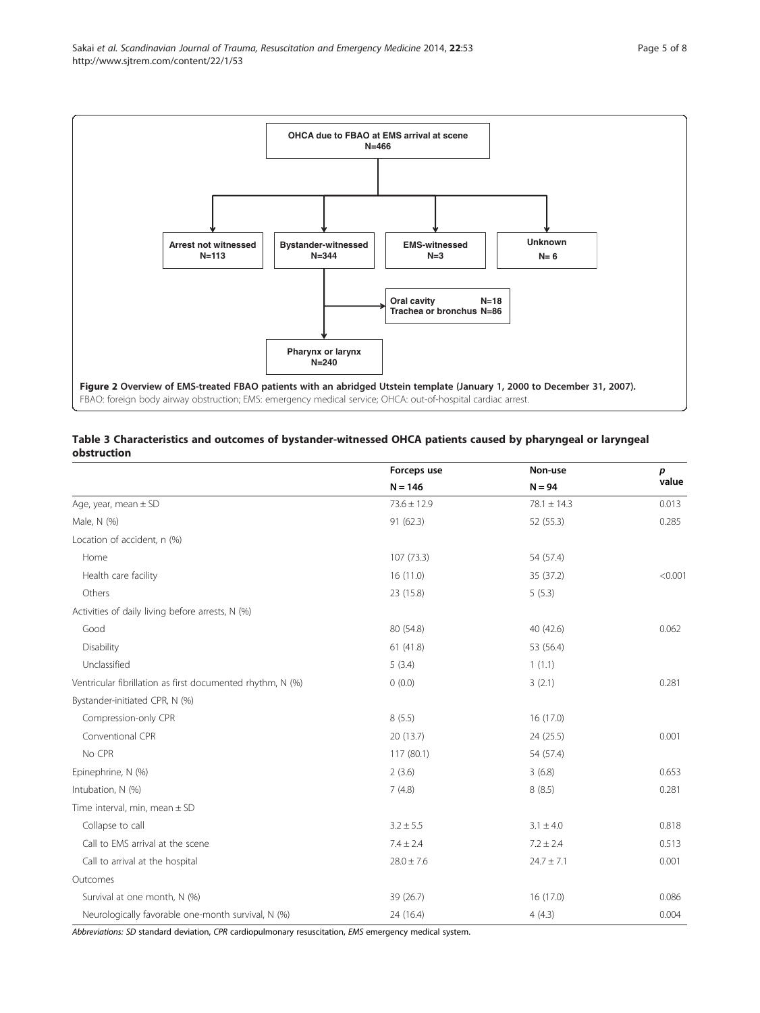<span id="page-4-0"></span>

## Table 3 Characteristics and outcomes of bystander-witnessed OHCA patients caused by pharyngeal or laryngeal obstruction

|                                                            | Forceps use     | Non-use         | p<br>value |
|------------------------------------------------------------|-----------------|-----------------|------------|
|                                                            | $N = 146$       | $N = 94$        |            |
| Age, year, mean $\pm$ SD                                   | $73.6 \pm 12.9$ | $78.1 \pm 14.3$ | 0.013      |
| Male, N (%)                                                | 91 (62.3)       | 52 (55.3)       | 0.285      |
| Location of accident, n (%)                                |                 |                 |            |
| Home                                                       | 107(73.3)       | 54 (57.4)       |            |
| Health care facility                                       | 16 (11.0)       | 35 (37.2)       | < 0.001    |
| Others                                                     | 23 (15.8)       | 5(5.3)          |            |
| Activities of daily living before arrests, N (%)           |                 |                 |            |
| Good                                                       | 80 (54.8)       | 40 (42.6)       | 0.062      |
| Disability                                                 | 61(41.8)        | 53 (56.4)       |            |
| Unclassified                                               | 5(3.4)          | 1(1.1)          |            |
| Ventricular fibrillation as first documented rhythm, N (%) | 0(0.0)          | 3(2.1)          | 0.281      |
| Bystander-initiated CPR, N (%)                             |                 |                 |            |
| Compression-only CPR                                       | 8(5.5)          | 16 (17.0)       |            |
| Conventional CPR                                           | 20 (13.7)       | 24 (25.5)       | 0.001      |
| No CPR                                                     | 117(80.1)       | 54 (57.4)       |            |
| Epinephrine, N (%)                                         | 2(3.6)          | 3(6.8)          | 0.653      |
| Intubation, N (%)                                          | 7(4.8)          | 8(8.5)          | 0.281      |
| Time interval, min, mean $\pm$ SD                          |                 |                 |            |
| Collapse to call                                           | $3.2 \pm 5.5$   | $3.1 \pm 4.0$   | 0.818      |
| Call to FMS arrival at the scene                           | $7.4 \pm 2.4$   | $7.2 \pm 2.4$   | 0.513      |
| Call to arrival at the hospital                            | $28.0 \pm 7.6$  | $24.7 \pm 7.1$  | 0.001      |
| Outcomes                                                   |                 |                 |            |
| Survival at one month, N (%)                               | 39 (26.7)       | 16 (17.0)       | 0.086      |
| Neurologically favorable one-month survival, N (%)         | 24 (16.4)       | 4(4.3)          | 0.004      |

Abbreviations: SD standard deviation, CPR cardiopulmonary resuscitation, EMS emergency medical system.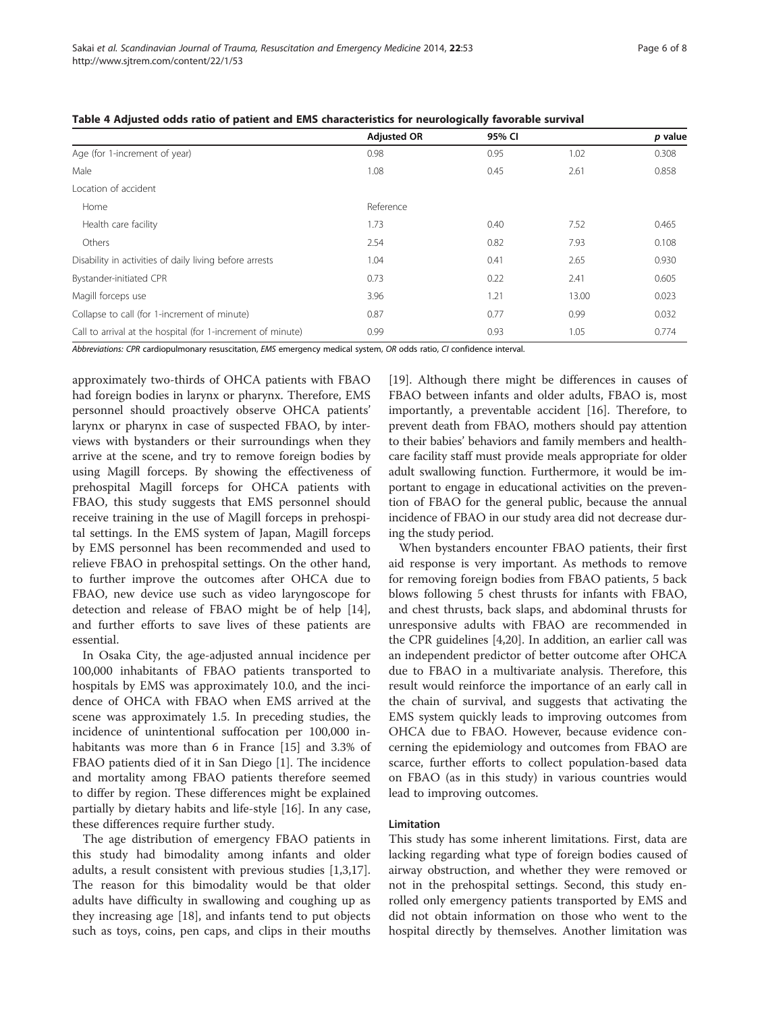|                                                             | <b>Adjusted OR</b> | 95% CI |       | p value |
|-------------------------------------------------------------|--------------------|--------|-------|---------|
| Age (for 1-increment of year)                               | 0.98               | 0.95   | 1.02  | 0.308   |
| Male                                                        | 1.08               | 0.45   | 2.61  | 0.858   |
| Location of accident                                        |                    |        |       |         |
| Home                                                        | Reference          |        |       |         |
| Health care facility                                        | 1.73               | 0.40   | 7.52  | 0.465   |
| Others                                                      | 2.54               | 0.82   | 7.93  | 0.108   |
| Disability in activities of daily living before arrests     | 1.04               | 0.41   | 2.65  | 0.930   |
| Bystander-initiated CPR                                     | 0.73               | 0.22   | 2.41  | 0.605   |
| Magill forceps use                                          | 3.96               | 1.21   | 13.00 | 0.023   |
| Collapse to call (for 1-increment of minute)                | 0.87               | 0.77   | 0.99  | 0.032   |
| Call to arrival at the hospital (for 1-increment of minute) | 0.99               | 0.93   | 1.05  | 0.774   |

<span id="page-5-0"></span>

|  | Table 4 Adjusted odds ratio of patient and EMS characteristics for neurologically favorable survival |  |
|--|------------------------------------------------------------------------------------------------------|--|
|--|------------------------------------------------------------------------------------------------------|--|

Abbreviations: CPR cardiopulmonary resuscitation, EMS emergency medical system, OR odds ratio, CI confidence interval.

approximately two-thirds of OHCA patients with FBAO had foreign bodies in larynx or pharynx. Therefore, EMS personnel should proactively observe OHCA patients' larynx or pharynx in case of suspected FBAO, by interviews with bystanders or their surroundings when they arrive at the scene, and try to remove foreign bodies by using Magill forceps. By showing the effectiveness of prehospital Magill forceps for OHCA patients with FBAO, this study suggests that EMS personnel should receive training in the use of Magill forceps in prehospital settings. In the EMS system of Japan, Magill forceps by EMS personnel has been recommended and used to relieve FBAO in prehospital settings. On the other hand, to further improve the outcomes after OHCA due to FBAO, new device use such as video laryngoscope for detection and release of FBAO might be of help [\[14](#page-7-0)], and further efforts to save lives of these patients are essential.

In Osaka City, the age-adjusted annual incidence per 100,000 inhabitants of FBAO patients transported to hospitals by EMS was approximately 10.0, and the incidence of OHCA with FBAO when EMS arrived at the scene was approximately 1.5. In preceding studies, the incidence of unintentional suffocation per 100,000 inhabitants was more than 6 in France [[15\]](#page-7-0) and 3.3% of FBAO patients died of it in San Diego [\[1](#page-6-0)]. The incidence and mortality among FBAO patients therefore seemed to differ by region. These differences might be explained partially by dietary habits and life-style [\[16](#page-7-0)]. In any case, these differences require further study.

The age distribution of emergency FBAO patients in this study had bimodality among infants and older adults, a result consistent with previous studies [\[1,3](#page-6-0)[,17](#page-7-0)]. The reason for this bimodality would be that older adults have difficulty in swallowing and coughing up as they increasing age [[18](#page-7-0)], and infants tend to put objects such as toys, coins, pen caps, and clips in their mouths [[19\]](#page-7-0). Although there might be differences in causes of FBAO between infants and older adults, FBAO is, most importantly, a preventable accident [[16\]](#page-7-0). Therefore, to prevent death from FBAO, mothers should pay attention to their babies' behaviors and family members and healthcare facility staff must provide meals appropriate for older adult swallowing function. Furthermore, it would be important to engage in educational activities on the prevention of FBAO for the general public, because the annual incidence of FBAO in our study area did not decrease during the study period.

When bystanders encounter FBAO patients, their first aid response is very important. As methods to remove for removing foreign bodies from FBAO patients, 5 back blows following 5 chest thrusts for infants with FBAO, and chest thrusts, back slaps, and abdominal thrusts for unresponsive adults with FBAO are recommended in the CPR guidelines [\[4](#page-6-0)[,20\]](#page-7-0). In addition, an earlier call was an independent predictor of better outcome after OHCA due to FBAO in a multivariate analysis. Therefore, this result would reinforce the importance of an early call in the chain of survival, and suggests that activating the EMS system quickly leads to improving outcomes from OHCA due to FBAO. However, because evidence concerning the epidemiology and outcomes from FBAO are scarce, further efforts to collect population-based data on FBAO (as in this study) in various countries would lead to improving outcomes.

## Limitation

This study has some inherent limitations. First, data are lacking regarding what type of foreign bodies caused of airway obstruction, and whether they were removed or not in the prehospital settings. Second, this study enrolled only emergency patients transported by EMS and did not obtain information on those who went to the hospital directly by themselves. Another limitation was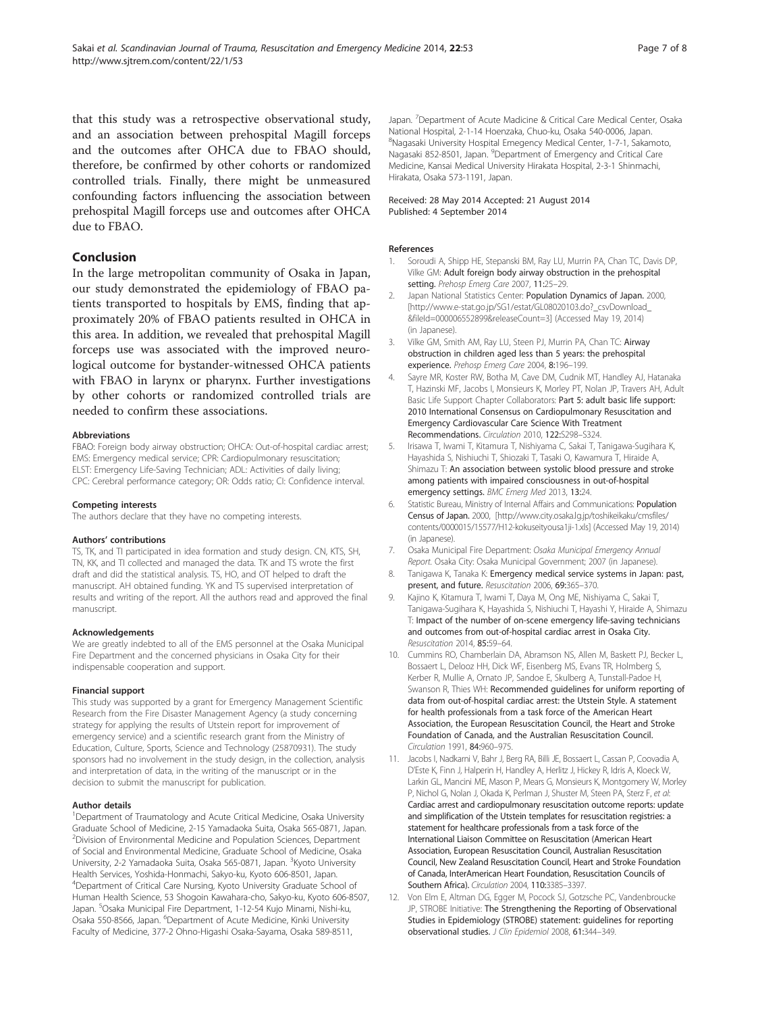<span id="page-6-0"></span>that this study was a retrospective observational study, and an association between prehospital Magill forceps and the outcomes after OHCA due to FBAO should, therefore, be confirmed by other cohorts or randomized controlled trials. Finally, there might be unmeasured confounding factors influencing the association between prehospital Magill forceps use and outcomes after OHCA due to FBAO.

## Conclusion

In the large metropolitan community of Osaka in Japan, our study demonstrated the epidemiology of FBAO patients transported to hospitals by EMS, finding that approximately 20% of FBAO patients resulted in OHCA in this area. In addition, we revealed that prehospital Magill forceps use was associated with the improved neurological outcome for bystander-witnessed OHCA patients with FBAO in larynx or pharynx. Further investigations by other cohorts or randomized controlled trials are needed to confirm these associations.

#### Abbreviations

FBAO: Foreign body airway obstruction; OHCA: Out-of-hospital cardiac arrest; EMS: Emergency medical service; CPR: Cardiopulmonary resuscitation; ELST: Emergency Life-Saving Technician; ADL: Activities of daily living; CPC: Cerebral performance category; OR: Odds ratio; CI: Confidence interval.

#### Competing interests

The authors declare that they have no competing interests.

#### Authors' contributions

TS, TK, and TI participated in idea formation and study design. CN, KTS, SH, TN, KK, and TI collected and managed the data. TK and TS wrote the first draft and did the statistical analysis. TS, HO, and OT helped to draft the manuscript. AH obtained funding. YK and TS supervised interpretation of results and writing of the report. All the authors read and approved the final manuscript.

#### Acknowledgements

We are greatly indebted to all of the EMS personnel at the Osaka Municipal Fire Department and the concerned physicians in Osaka City for their indispensable cooperation and support.

#### Financial support

This study was supported by a grant for Emergency Management Scientific Research from the Fire Disaster Management Agency (a study concerning strategy for applying the results of Utstein report for improvement of emergency service) and a scientific research grant from the Ministry of Education, Culture, Sports, Science and Technology (25870931). The study sponsors had no involvement in the study design, in the collection, analysis and interpretation of data, in the writing of the manuscript or in the decision to submit the manuscript for publication.

#### Author details

<sup>1</sup>Department of Traumatology and Acute Critical Medicine, Osaka University Graduate School of Medicine, 2-15 Yamadaoka Suita, Osaka 565-0871, Japan. <sup>2</sup> Division of Environmental Medicine and Population Sciences, Department of Social and Environmental Medicine, Graduate School of Medicine, Osaka University, 2-2 Yamadaoka Suita, Osaka 565-0871, Japan. <sup>3</sup>Kyoto University Health Services, Yoshida-Honmachi, Sakyo-ku, Kyoto 606-8501, Japan. 4 Department of Critical Care Nursing, Kyoto University Graduate School of Human Health Science, 53 Shogoin Kawahara-cho, Sakyo-ku, Kyoto 606-8507, Japan. <sup>5</sup>Osaka Municipal Fire Department, 1-12-54 Kujo Minami, Nishi-ku, Osaka 550-8566, Japan. <sup>6</sup>Department of Acute Medicine, Kinki University Faculty of Medicine, 377-2 Ohno-Higashi Osaka-Sayama, Osaka 589-8511,

Japan. <sup>7</sup> Department of Acute Madicine & Critical Care Medical Center, Osaka National Hospital, 2-1-14 Hoenzaka, Chuo-ku, Osaka 540-0006, Japan. 8 Nagasaki University Hospital Emegency Medical Center, 1-7-1, Sakamoto, Nagasaki 852-8501, Japan. <sup>9</sup>Department of Emergency and Critical Care Medicine, Kansai Medical University Hirakata Hospital, 2-3-1 Shinmachi, Hirakata, Osaka 573-1191, Japan.

#### Received: 28 May 2014 Accepted: 21 August 2014 Published: 4 September 2014

#### References

- 1. Soroudi A, Shipp HE, Stepanski BM, Ray LU, Murrin PA, Chan TC, Davis DP, Vilke GM: Adult foreign body airway obstruction in the prehospital setting. Prehosp Emerg Care 2007, 11:25-29.
- 2. Japan National Statistics Center: Population Dynamics of Japan. 2000, [[http://www.e-stat.go.jp/SG1/estat/GL08020103.do?\\_csvDownload\\_](http://www.e-stat.go.jp/SG1/estat/GL08020103.do?_csvDownload_&fileId=000006552899&releaseCount=3) [&fileId=000006552899&releaseCount=3\]](http://www.e-stat.go.jp/SG1/estat/GL08020103.do?_csvDownload_&fileId=000006552899&releaseCount=3) (Accessed May 19, 2014) (in Japanese).
- 3. Vilke GM, Smith AM, Ray LU, Steen PJ, Murrin PA, Chan TC: Airway obstruction in children aged less than 5 years: the prehospital experience. Prehosp Emerg Care 2004, 8:196–199.
- 4. Sayre MR, Koster RW, Botha M, Cave DM, Cudnik MT, Handley AJ, Hatanaka T, Hazinski MF, Jacobs I, Monsieurs K, Morley PT, Nolan JP, Travers AH, Adult Basic Life Support Chapter Collaborators: Part 5: adult basic life support: 2010 International Consensus on Cardiopulmonary Resuscitation and Emergency Cardiovascular Care Science With Treatment Recommendations. Circulation 2010, 122:S298–S324.
- 5. Irisawa T, Iwami T, Kitamura T, Nishiyama C, Sakai T, Tanigawa-Sugihara K, Hayashida S, Nishiuchi T, Shiozaki T, Tasaki O, Kawamura T, Hiraide A, Shimazu T: An association between systolic blood pressure and stroke among patients with impaired consciousness in out-of-hospital emergency settings. BMC Emerg Med 2013, 13:24.
- 6. Statistic Bureau, Ministry of Internal Affairs and Communications: Population Census of Japan. 2000, [\[http://www.city.osaka.lg.jp/toshikeikaku/cmsfiles/](http://www.city.osaka.lg.jp/toshikeikaku/cmsfiles/contents/0000015/15577/H12-kokuseityousa1ji-1.xls) [contents/0000015/15577/H12-kokuseityousa1ji-1.xls](http://www.city.osaka.lg.jp/toshikeikaku/cmsfiles/contents/0000015/15577/H12-kokuseityousa1ji-1.xls)] (Accessed May 19, 2014) (in Japanese).
- 7. Osaka Municipal Fire Department: Osaka Municipal Emergency Annual Report. Osaka City: Osaka Municipal Government; 2007 (in Japanese).
- Tanigawa K, Tanaka K: Emergency medical service systems in Japan: past, present, and future. Resuscitation 2006, 69:365–370.
- 9. Kajino K, Kitamura T, Iwami T, Daya M, Ong ME, Nishiyama C, Sakai T, Tanigawa-Sugihara K, Hayashida S, Nishiuchi T, Hayashi Y, Hiraide A, Shimazu T: Impact of the number of on-scene emergency life-saving technicians and outcomes from out-of-hospital cardiac arrest in Osaka City. Resuscitation 2014, 85:59–64.
- 10. Cummins RO, Chamberlain DA, Abramson NS, Allen M, Baskett PJ, Becker L, Bossaert L, Delooz HH, Dick WF, Eisenberg MS, Evans TR, Holmberg S, Kerber R, Mullie A, Ornato JP, Sandoe E, Skulberg A, Tunstall-Padoe H, Swanson R, Thies WH: Recommended guidelines for uniform reporting of data from out-of-hospital cardiac arrest: the Utstein Style. A statement for health professionals from a task force of the American Heart Association, the European Resuscitation Council, the Heart and Stroke Foundation of Canada, and the Australian Resuscitation Council. Circulation 1991, 84:960–975.
- 11. Jacobs I, Nadkarni V, Bahr J, Berg RA, Billi JE, Bossaert L, Cassan P, Coovadia A, D'Este K, Finn J, Halperin H, Handley A, Herlitz J, Hickey R, Idris A, Kloeck W, Larkin GL, Mancini ME, Mason P, Mears G, Monsieurs K, Montgomery W, Morley P, Nichol G, Nolan J, Okada K, Perlman J, Shuster M, Steen PA, Sterz F, et al: Cardiac arrest and cardiopulmonary resuscitation outcome reports: update and simplification of the Utstein templates for resuscitation registries: a statement for healthcare professionals from a task force of the International Liaison Committee on Resuscitation (American Heart Association, European Resuscitation Council, Australian Resuscitation Council, New Zealand Resuscitation Council, Heart and Stroke Foundation of Canada, InterAmerican Heart Foundation, Resuscitation Councils of Southern Africa). Circulation 2004, 110:3385–3397.
- 12. Von Elm E, Altman DG, Egger M, Pocock SJ, Gotzsche PC, Vandenbroucke JP, STROBE Initiative: The Strengthening the Reporting of Observational Studies in Epidemiology (STROBE) statement: guidelines for reporting observational studies. J Clin Epidemiol 2008, 61:344–349.